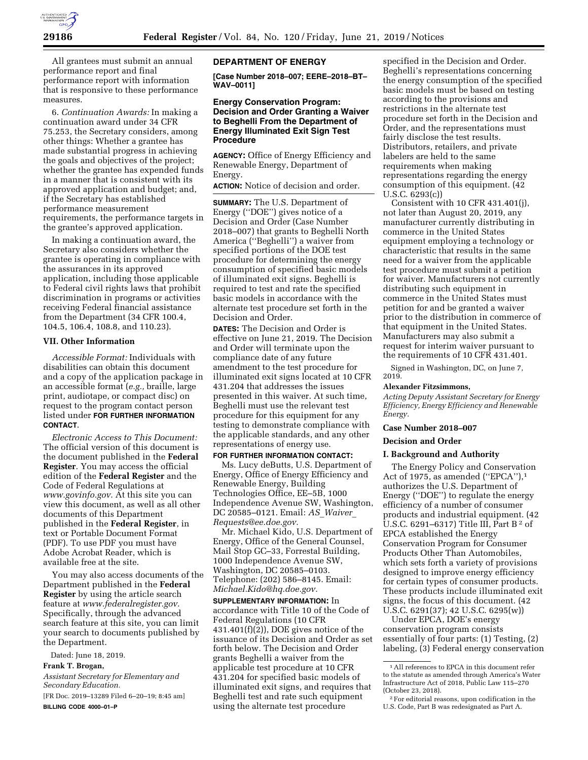

All grantees must submit an annual performance report and final performance report with information that is responsive to these performance measures.

6. *Continuation Awards:* In making a continuation award under 34 CFR 75.253, the Secretary considers, among other things: Whether a grantee has made substantial progress in achieving the goals and objectives of the project; whether the grantee has expended funds in a manner that is consistent with its approved application and budget; and, if the Secretary has established performance measurement requirements, the performance targets in the grantee's approved application.

In making a continuation award, the Secretary also considers whether the grantee is operating in compliance with the assurances in its approved application, including those applicable to Federal civil rights laws that prohibit discrimination in programs or activities receiving Federal financial assistance from the Department (34 CFR 100.4, 104.5, 106.4, 108.8, and 110.23).

#### **VII. Other Information**

*Accessible Format:* Individuals with disabilities can obtain this document and a copy of the application package in an accessible format (*e.g.,* braille, large print, audiotape, or compact disc) on request to the program contact person listed under **FOR FURTHER INFORMATION CONTACT**.

*Electronic Access to This Document:*  The official version of this document is the document published in the **Federal Register**. You may access the official edition of the **Federal Register** and the Code of Federal Regulations at *[www.govinfo.gov.](http://www.govinfo.gov)* At this site you can view this document, as well as all other documents of this Department published in the **Federal Register**, in text or Portable Document Format (PDF). To use PDF you must have Adobe Acrobat Reader, which is available free at the site.

You may also access documents of the Department published in the **Federal Register** by using the article search feature at *[www.federalregister.gov.](http://www.federalregister.gov)*  Specifically, through the advanced search feature at this site, you can limit your search to documents published by the Department.

Dated: June 18, 2019.

# **Frank T. Brogan,**

*Assistant Secretary for Elementary and Secondary Education.* 

[FR Doc. 2019–13289 Filed 6–20–19; 8:45 am] **BILLING CODE 4000–01–P** 

# **DEPARTMENT OF ENERGY**

**[Case Number 2018–007; EERE–2018–BT– WAV–0011]** 

# **Energy Conservation Program: Decision and Order Granting a Waiver to Beghelli From the Department of Energy Illuminated Exit Sign Test Procedure**

**AGENCY:** Office of Energy Efficiency and Renewable Energy, Department of Energy.

**ACTION:** Notice of decision and order.

**SUMMARY:** The U.S. Department of Energy (''DOE'') gives notice of a Decision and Order (Case Number 2018–007) that grants to Beghelli North America (''Beghelli'') a waiver from specified portions of the DOE test procedure for determining the energy consumption of specified basic models of illuminated exit signs. Beghelli is required to test and rate the specified basic models in accordance with the alternate test procedure set forth in the Decision and Order.

**DATES:** The Decision and Order is effective on June 21, 2019. The Decision and Order will terminate upon the compliance date of any future amendment to the test procedure for illuminated exit signs located at 10 CFR 431.204 that addresses the issues presented in this waiver. At such time, Beghelli must use the relevant test procedure for this equipment for any testing to demonstrate compliance with the applicable standards, and any other representations of energy use.

# **FOR FURTHER INFORMATION CONTACT:**  Ms. Lucy deButts, U.S. Department of

Energy, Office of Energy Efficiency and Renewable Energy, Building Technologies Office, EE–5B, 1000 Independence Avenue SW, Washington, DC 20585–0121. Email: *AS*\_*[Waiver](mailto:AS_Waiver_Requests@ee.doe.gov)*\_ *[Requests@ee.doe.gov.](mailto:AS_Waiver_Requests@ee.doe.gov)* 

Mr. Michael Kido, U.S. Department of Energy, Office of the General Counsel, Mail Stop GC–33, Forrestal Building, 1000 Independence Avenue SW, Washington, DC 20585–0103. Telephone: (202) 586–8145. Email: *[Michael.Kido@hq.doe.gov.](mailto:Michael.Kido@hq.doe.gov)* 

**SUPPLEMENTARY INFORMATION:** In accordance with Title 10 of the Code of Federal Regulations (10 CFR 431.401(f)(2)), DOE gives notice of the issuance of its Decision and Order as set forth below. The Decision and Order grants Beghelli a waiver from the applicable test procedure at 10 CFR 431.204 for specified basic models of illuminated exit signs, and requires that Beghelli test and rate such equipment using the alternate test procedure

specified in the Decision and Order. Beghelli's representations concerning the energy consumption of the specified basic models must be based on testing according to the provisions and restrictions in the alternate test procedure set forth in the Decision and Order, and the representations must fairly disclose the test results. Distributors, retailers, and private labelers are held to the same requirements when making representations regarding the energy consumption of this equipment. (42 U.S.C. 6293(c))

Consistent with 10 CFR 431.401(j), not later than August 20, 2019, any manufacturer currently distributing in commerce in the United States equipment employing a technology or characteristic that results in the same need for a waiver from the applicable test procedure must submit a petition for waiver. Manufacturers not currently distributing such equipment in commerce in the United States must petition for and be granted a waiver prior to the distribution in commerce of that equipment in the United States. Manufacturers may also submit a request for interim waiver pursuant to the requirements of 10 CFR 431.401.

Signed in Washington, DC, on June 7, 2019.

#### **Alexander Fitzsimmons,**

*Acting Deputy Assistant Secretary for Energy Efficiency, Energy Efficiency and Renewable Energy.* 

### **Case Number 2018–007**

**Decision and Order** 

### **I. Background and Authority**

The Energy Policy and Conservation Act of 1975, as amended ("EPCA"),<sup>1</sup> authorizes the U.S. Department of Energy (''DOE'') to regulate the energy efficiency of a number of consumer products and industrial equipment. (42 U.S.C. 6291–6317) Title III, Part B 2 of EPCA established the Energy Conservation Program for Consumer Products Other Than Automobiles, which sets forth a variety of provisions designed to improve energy efficiency for certain types of consumer products. These products include illuminated exit signs, the focus of this document. (42 U.S.C. 6291(37); 42 U.S.C. 6295(w))

Under EPCA, DOE's energy conservation program consists essentially of four parts: (1) Testing, (2) labeling, (3) Federal energy conservation

<sup>1</sup>All references to EPCA in this document refer to the statute as amended through America's Water Infrastructure Act of 2018, Public Law 115–270 (October 23, 2018).

<sup>2</sup>For editorial reasons, upon codification in the U.S. Code, Part B was redesignated as Part A.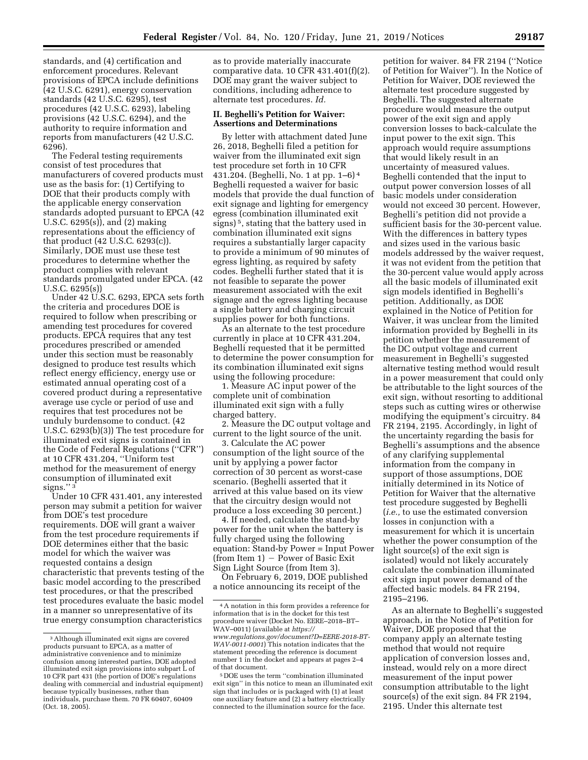standards, and (4) certification and enforcement procedures. Relevant provisions of EPCA include definitions (42 U.S.C. 6291), energy conservation standards (42 U.S.C. 6295), test procedures (42 U.S.C. 6293), labeling provisions (42 U.S.C. 6294), and the authority to require information and reports from manufacturers (42 U.S.C. 6296).

The Federal testing requirements consist of test procedures that manufacturers of covered products must use as the basis for: (1) Certifying to DOE that their products comply with the applicable energy conservation standards adopted pursuant to EPCA (42 U.S.C. 6295(s)), and (2) making representations about the efficiency of that product (42 U.S.C. 6293(c)). Similarly, DOE must use these test procedures to determine whether the product complies with relevant standards promulgated under EPCA. (42 U.S.C. 6295(s))

Under 42 U.S.C. 6293, EPCA sets forth the criteria and procedures DOE is required to follow when prescribing or amending test procedures for covered products. EPCA requires that any test procedures prescribed or amended under this section must be reasonably designed to produce test results which reflect energy efficiency, energy use or estimated annual operating cost of a covered product during a representative average use cycle or period of use and requires that test procedures not be unduly burdensome to conduct. (42 U.S.C. 6293(b)(3)) The test procedure for illuminated exit signs is contained in the Code of Federal Regulations (''CFR'') at 10 CFR 431.204, ''Uniform test method for the measurement of energy consumption of illuminated exit signs."<sup>3</sup>

Under 10 CFR 431.401, any interested person may submit a petition for waiver from DOE's test procedure requirements. DOE will grant a waiver from the test procedure requirements if DOE determines either that the basic model for which the waiver was requested contains a design characteristic that prevents testing of the basic model according to the prescribed test procedures, or that the prescribed test procedures evaluate the basic model in a manner so unrepresentative of its true energy consumption characteristics

as to provide materially inaccurate comparative data. 10 CFR 431.401(f)(2). DOE may grant the waiver subject to conditions, including adherence to alternate test procedures. *Id.* 

# **II. Beghelli's Petition for Waiver: Assertions and Determinations**

By letter with attachment dated June 26, 2018, Beghelli filed a petition for waiver from the illuminated exit sign test procedure set forth in 10 CFR 431.204. (Beghelli, No. 1 at pp. 1–6) 4 Beghelli requested a waiver for basic models that provide the dual function of exit signage and lighting for emergency egress (combination illuminated exit signs) 5, stating that the battery used in combination illuminated exit signs requires a substantially larger capacity to provide a minimum of 90 minutes of egress lighting, as required by safety codes. Beghelli further stated that it is not feasible to separate the power measurement associated with the exit signage and the egress lighting because a single battery and charging circuit supplies power for both functions.

As an alternate to the test procedure currently in place at 10 CFR 431.204, Beghelli requested that it be permitted to determine the power consumption for its combination illuminated exit signs using the following procedure:

1. Measure AC input power of the complete unit of combination illuminated exit sign with a fully charged battery.

2. Measure the DC output voltage and current to the light source of the unit.

3. Calculate the AC power consumption of the light source of the unit by applying a power factor correction of 30 percent as worst-case scenario. (Beghelli asserted that it arrived at this value based on its view that the circuitry design would not produce a loss exceeding 30 percent.)

4. If needed, calculate the stand-by power for the unit when the battery is fully charged using the following equation: Stand-by Power = Input Power  $(from Item 1) - Power of Basic Exist$ Sign Light Source (from Item 3).

On February 6, 2019, DOE published a notice announcing its receipt of the

petition for waiver. 84 FR 2194 (''Notice of Petition for Waiver''). In the Notice of Petition for Waiver, DOE reviewed the alternate test procedure suggested by Beghelli. The suggested alternate procedure would measure the output power of the exit sign and apply conversion losses to back-calculate the input power to the exit sign. This approach would require assumptions that would likely result in an uncertainty of measured values. Beghelli contended that the input to output power conversion losses of all basic models under consideration would not exceed 30 percent. However, Beghelli's petition did not provide a sufficient basis for the 30-percent value. With the differences in battery types and sizes used in the various basic models addressed by the waiver request, it was not evident from the petition that the 30-percent value would apply across all the basic models of illuminated exit sign models identified in Beghelli's petition. Additionally, as DOE explained in the Notice of Petition for Waiver, it was unclear from the limited information provided by Beghelli in its petition whether the measurement of the DC output voltage and current measurement in Beghelli's suggested alternative testing method would result in a power measurement that could only be attributable to the light sources of the exit sign, without resorting to additional steps such as cutting wires or otherwise modifying the equipment's circuitry. 84 FR 2194, 2195. Accordingly, in light of the uncertainty regarding the basis for Beghelli's assumptions and the absence of any clarifying supplemental information from the company in support of those assumptions, DOE initially determined in its Notice of Petition for Waiver that the alternative test procedure suggested by Beghelli (*i.e.,* to use the estimated conversion losses in conjunction with a measurement for which it is uncertain whether the power consumption of the light source(s) of the exit sign is isolated) would not likely accurately calculate the combination illuminated exit sign input power demand of the affected basic models. 84 FR 2194, 2195–2196.

As an alternate to Beghelli's suggested approach, in the Notice of Petition for Waiver, DOE proposed that the company apply an alternate testing method that would not require application of conversion losses and, instead, would rely on a more direct measurement of the input power consumption attributable to the light source(s) of the exit sign. 84 FR 2194, 2195. Under this alternate test

<sup>3</sup>Although illuminated exit signs are covered products pursuant to EPCA, as a matter of administrative convenience and to minimize confusion among interested parties, DOE adopted illuminated exit sign provisions into subpart L of 10 CFR part 431 (the portion of DOE's regulations dealing with commercial and industrial equipment) because typically businesses, rather than individuals, purchase them. 70 FR 60407, 60409 (Oct. 18, 2005).

<sup>4</sup>A notation in this form provides a reference for information that is in the docket for this test procedure waiver (Docket No. EERE–2018–BT– WAV–0011) (available at *[https://](https://www.regulations.gov/document?D=EERE-2018-BT-WAV-0011-0001) [www.regulations.gov/document?D=EERE-2018-BT-](https://www.regulations.gov/document?D=EERE-2018-BT-WAV-0011-0001)[WAV-0011-0001](https://www.regulations.gov/document?D=EERE-2018-BT-WAV-0011-0001)*) This notation indicates that the statement preceding the reference is document number 1 in the docket and appears at pages 2–4 of that document.

<sup>5</sup> DOE uses the term ''combination illuminated exit sign'' in this notice to mean an illuminated exit sign that includes or is packaged with (1) at least one auxiliary feature and (2) a battery electrically connected to the illumination source for the face.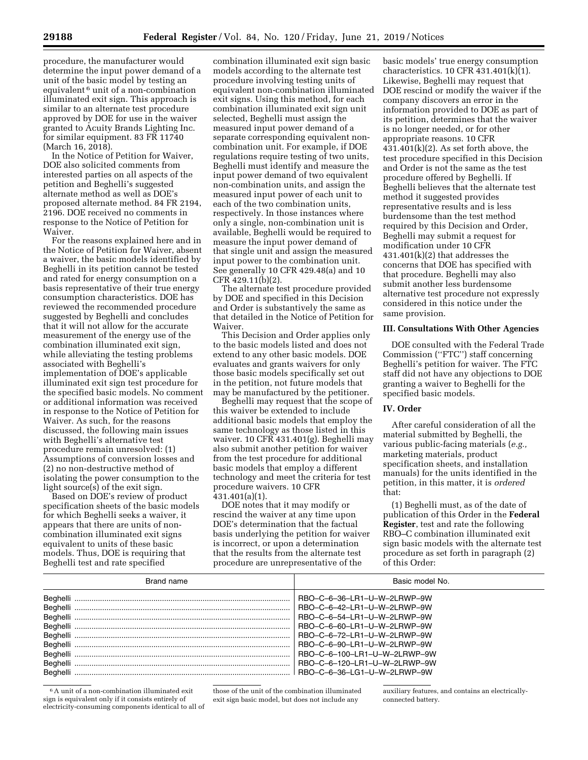procedure, the manufacturer would determine the input power demand of a unit of the basic model by testing an equivalent 6 unit of a non-combination illuminated exit sign. This approach is similar to an alternate test procedure approved by DOE for use in the waiver granted to Acuity Brands Lighting Inc. for similar equipment. 83 FR 11740  $(March 16, 2018).$ 

In the Notice of Petition for Waiver, DOE also solicited comments from interested parties on all aspects of the petition and Beghelli's suggested alternate method as well as DOE's proposed alternate method. 84 FR 2194, 2196. DOE received no comments in response to the Notice of Petition for Waiver.

For the reasons explained here and in the Notice of Petition for Waiver, absent a waiver, the basic models identified by Beghelli in its petition cannot be tested and rated for energy consumption on a basis representative of their true energy consumption characteristics. DOE has reviewed the recommended procedure suggested by Beghelli and concludes that it will not allow for the accurate measurement of the energy use of the combination illuminated exit sign, while alleviating the testing problems associated with Beghelli's implementation of DOE's applicable illuminated exit sign test procedure for the specified basic models. No comment or additional information was received in response to the Notice of Petition for Waiver. As such, for the reasons discussed, the following main issues with Beghelli's alternative test procedure remain unresolved: (1) Assumptions of conversion losses and (2) no non-destructive method of isolating the power consumption to the light source(s) of the exit sign.

Based on DOE's review of product specification sheets of the basic models for which Beghelli seeks a waiver, it appears that there are units of noncombination illuminated exit signs equivalent to units of these basic models. Thus, DOE is requiring that Beghelli test and rate specified

combination illuminated exit sign basic models according to the alternate test procedure involving testing units of equivalent non-combination illuminated exit signs. Using this method, for each combination illuminated exit sign unit selected, Beghelli must assign the measured input power demand of a separate corresponding equivalent noncombination unit. For example, if DOE regulations require testing of two units, Beghelli must identify and measure the input power demand of two equivalent non-combination units, and assign the measured input power of each unit to each of the two combination units, respectively. In those instances where only a single, non-combination unit is available, Beghelli would be required to measure the input power demand of that single unit and assign the measured input power to the combination unit. See generally 10 CFR 429.48(a) and 10 CFR 429.11(b)(2).

The alternate test procedure provided by DOE and specified in this Decision and Order is substantively the same as that detailed in the Notice of Petition for Waiver.

This Decision and Order applies only to the basic models listed and does not extend to any other basic models. DOE evaluates and grants waivers for only those basic models specifically set out in the petition, not future models that may be manufactured by the petitioner.

Beghelli may request that the scope of this waiver be extended to include additional basic models that employ the same technology as those listed in this waiver. 10 CFR 431.401(g). Beghelli may also submit another petition for waiver from the test procedure for additional basic models that employ a different technology and meet the criteria for test procedure waivers. 10 CFR 431.401(a)(1).

DOE notes that it may modify or rescind the waiver at any time upon DOE's determination that the factual basis underlying the petition for waiver is incorrect, or upon a determination that the results from the alternate test procedure are unrepresentative of the

basic models' true energy consumption characteristics. 10 CFR 431.401(k)(1). Likewise, Beghelli may request that DOE rescind or modify the waiver if the company discovers an error in the information provided to DOE as part of its petition, determines that the waiver is no longer needed, or for other appropriate reasons. 10 CFR  $431.401(k)(2)$ . As set forth above, the test procedure specified in this Decision and Order is not the same as the test procedure offered by Beghelli. If Beghelli believes that the alternate test method it suggested provides representative results and is less burdensome than the test method required by this Decision and Order, Beghelli may submit a request for modification under 10 CFR 431.401(k)(2) that addresses the concerns that DOE has specified with that procedure. Beghelli may also submit another less burdensome alternative test procedure not expressly considered in this notice under the same provision.

## **III. Consultations With Other Agencies**

DOE consulted with the Federal Trade Commission (''FTC'') staff concerning Beghelli's petition for waiver. The FTC staff did not have any objections to DOE granting a waiver to Beghelli for the specified basic models.

### **IV. Order**

After careful consideration of all the material submitted by Beghelli, the various public-facing materials (*e.g.,*  marketing materials, product specification sheets, and installation manuals) for the units identified in the petition, in this matter, it is *ordered*  that:

(1) Beghelli must, as of the date of publication of this Order in the **Federal Register**, test and rate the following RBO–C combination illuminated exit sign basic models with the alternate test procedure as set forth in paragraph (2) of this Order:

| Brand name | Basic model No. |
|------------|-----------------|
|            |                 |
|            |                 |
|            |                 |
|            |                 |
|            |                 |
|            |                 |
|            |                 |
|            |                 |
|            |                 |

 $^{\rm 6}$  A unit of a non-combination illuminated exit sign is equivalent only if it consists entirely of electricity-consuming components identical to all of

those of the unit of the combination illuminated exit sign basic model, but does not include any

auxiliary features, and contains an electricallyconnected battery.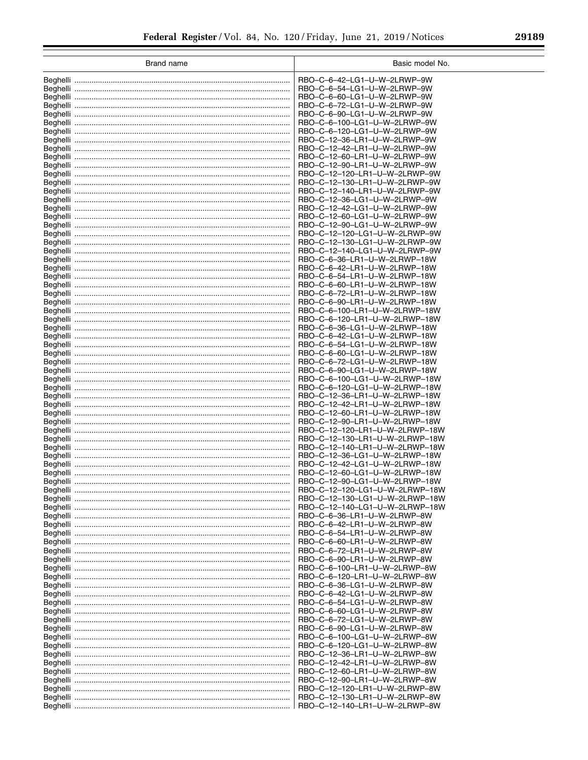| <b>Brand name</b> | Basic model No.                                                 |
|-------------------|-----------------------------------------------------------------|
|                   | RBO-C-6-42-LG1-U-W-2LRWP-9W                                     |
|                   | RBO-C-6-54-LG1-U-W-2LRWP-9W                                     |
|                   | RBO-C-6-60-LG1-U-W-2LRWP-9W                                     |
|                   | RBO-C-6-72-LG1-U-W-2LRWP-9W                                     |
|                   | RBO-C-6-90-LG1-U-W-2LRWP-9W                                     |
|                   | RBO-C-6-100-LG1-U-W-2LRWP-9W<br>RBO-C-6-120-LG1-U-W-2LRWP-9W    |
|                   | RBO-C-12-36-LR1-U-W-2LRWP-9W                                    |
|                   | RBO-C-12-42-LR1-U-W-2LRWP-9W                                    |
|                   | RBO-C-12-60-LR1-U-W-2LRWP-9W                                    |
|                   | RBO-C-12-90-LR1-U-W-2LRWP-9W                                    |
|                   | RBO-C-12-120-LR1-U-W-2LRWP-9W                                   |
|                   | RBO-C-12-130-LR1-U-W-2LRWP-9W<br>RBO-C-12-140-LR1-U-W-2LRWP-9W  |
|                   | RBO-C-12-36-LG1-U-W-2LRWP-9W                                    |
|                   | RBO-C-12-42-LG1-U-W-2LRWP-9W                                    |
|                   | RBO-C-12-60-LG1-U-W-2LRWP-9W                                    |
|                   | RBO-C-12-90-LG1-U-W-2LRWP-9W                                    |
|                   | RBO-C-12-120-LG1-U-W-2LRWP-9W                                   |
|                   | RBO-C-12-130-LG1-U-W-2LRWP-9W<br>RBO-C-12-140-LG1-U-W-2LRWP-9W  |
|                   | RBO-C-6-36-LR1-U-W-2LRWP-18W                                    |
|                   | RBO-C-6-42-LR1-U-W-2LRWP-18W                                    |
|                   | RBO-C-6-54-LR1-U-W-2LRWP-18W                                    |
|                   | RBO-C-6-60-LR1-U-W-2LRWP-18W                                    |
|                   | RBO-C-6-72-LR1-U-W-2LRWP-18W                                    |
|                   | RBO-C-6-90-LR1-U-W-2LRWP-18W<br>RBO-C-6-100-LR1-U-W-2LRWP-18W   |
|                   | RBO-C-6-120-LR1-U-W-2LRWP-18W                                   |
|                   | RBO-C-6-36-LG1-U-W-2LRWP-18W                                    |
|                   | RBO-C-6-42-LG1-U-W-2LRWP-18W                                    |
|                   | RBO-C-6-54-LG1-U-W-2LRWP-18W                                    |
|                   | RBO-C-6-60-LG1-U-W-2LRWP-18W                                    |
|                   | RBO-C-6-72-LG1-U-W-2LRWP-18W<br>RBO-C-6-90-LG1-U-W-2LRWP-18W    |
|                   | RBO-C-6-100-LG1-U-W-2LRWP-18W                                   |
|                   | RBO-C-6-120-LG1-U-W-2LRWP-18W                                   |
|                   | RBO-C-12-36-LR1-U-W-2LRWP-18W                                   |
|                   | RBO-C-12-42-LR1-U-W-2LRWP-18W                                   |
|                   | RBO-C-12-60-LR1-U-W-2LRWP-18W                                   |
|                   | RBO-C-12-90-LR1-U-W-2LRWP-18W<br>RBO-C-12-120-LR1-U-W-2LRWP-18W |
|                   | RBO-C-12-130-LR1-U-W-2LRWP-18W                                  |
|                   | RBO-C-12-140-LR1-U-W-2LRWP-18W                                  |
|                   | RBO-C-12-36-LG1-U-W-2LRWP-18W                                   |
|                   | RBO-C-12-42-LG1-U-W-2LRWP-18W                                   |
|                   | RBO-C-12-60-LG1-U-W-2LRWP-18W                                   |
| Beghelli          | RBO-C-12-90-LG1-U-W-2LRWP-18W<br>RBO-C-12-120-LG1-U-W-2LRWP-18W |
|                   | RBO-C-12-130-LG1-U-W-2LRWP-18W                                  |
|                   | RBO-C-12-140-LG1-U-W-2LRWP-18W                                  |
|                   | RBO-C-6-36-LR1-U-W-2LRWP-8W                                     |
|                   | RBO-C-6-42-LR1-U-W-2LRWP-8W                                     |
|                   | RBO-C-6-54-LR1-U-W-2LRWP-8W                                     |
|                   | RBO-C-6-60-LR1-U-W-2LRWP-8W<br>RBO-C-6-72-LR1-U-W-2LRWP-8W      |
|                   | RBO-C-6-90-LR1-U-W-2LRWP-8W                                     |
|                   | RBO-C-6-100-LR1-U-W-2LRWP-8W                                    |
|                   | RBO-C-6-120-LR1-U-W-2LRWP-8W                                    |
|                   | RBO-C-6-36-LG1-U-W-2LRWP-8W                                     |
|                   | RBO-C-6-42-LG1-U-W-2LRWP-8W                                     |
|                   | RBO-C-6-54-LG1-U-W-2LRWP-8W                                     |
|                   | RBO-C-6-60-LG1-U-W-2LRWP-8W<br>RBO-C-6-72-LG1-U-W-2LRWP-8W      |
|                   | RBO-C-6-90-LG1-U-W-2LRWP-8W                                     |
|                   | RBO-C-6-100-LG1-U-W-2LRWP-8W                                    |
|                   | RBO-C-6-120-LG1-U-W-2LRWP-8W                                    |
|                   | RBO-C-12-36-LR1-U-W-2LRWP-8W                                    |
|                   | RBO-C-12-42-LR1-U-W-2LRWP-8W                                    |
|                   | RBO-C-12-60-LR1-U-W-2LRWP-8W                                    |
|                   | RBO-C-12-90-LR1-U-W-2LRWP-8W<br>RBO-C-12-120-LR1-U-W-2LRWP-8W   |
|                   | RBO-C-12-130-LR1-U-W-2LRWP-8W                                   |
|                   | RBO-C-12-140-LR1-U-W-2LRWP-8W                                   |